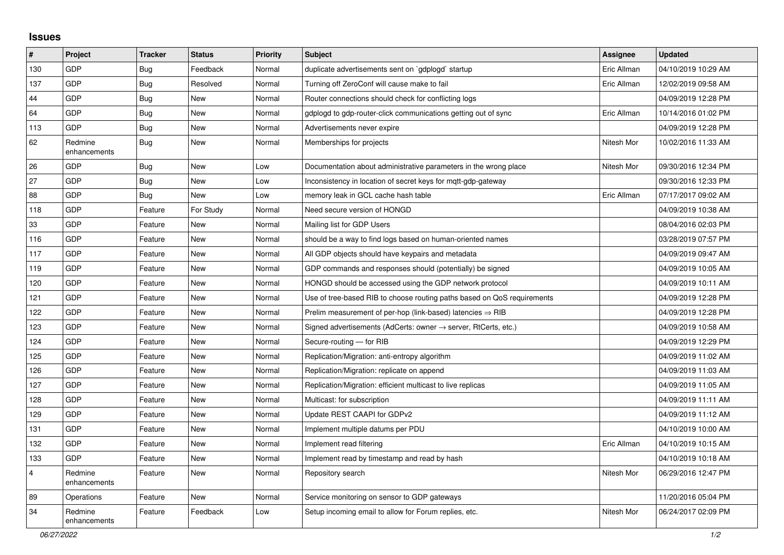## **Issues**

| #              | Project                 | <b>Tracker</b> | <b>Status</b> | <b>Priority</b> | <b>Subject</b>                                                             | Assignee    | <b>Updated</b>      |
|----------------|-------------------------|----------------|---------------|-----------------|----------------------------------------------------------------------------|-------------|---------------------|
| 130            | <b>GDP</b>              | <b>Bug</b>     | Feedback      | Normal          | duplicate advertisements sent on `gdplogd` startup                         | Eric Allman | 04/10/2019 10:29 AM |
| 137            | <b>GDP</b>              | <b>Bug</b>     | Resolved      | Normal          | Turning off ZeroConf will cause make to fail                               | Eric Allman | 12/02/2019 09:58 AM |
| 44             | <b>GDP</b>              | Bug            | <b>New</b>    | Normal          | Router connections should check for conflicting logs                       |             | 04/09/2019 12:28 PM |
| 64             | <b>GDP</b>              | <b>Bug</b>     | <b>New</b>    | Normal          | gdplogd to gdp-router-click communications getting out of sync             | Eric Allman | 10/14/2016 01:02 PM |
| 113            | <b>GDP</b>              | <b>Bug</b>     | <b>New</b>    | Normal          | Advertisements never expire                                                |             | 04/09/2019 12:28 PM |
| 62             | Redmine<br>enhancements | <b>Bug</b>     | <b>New</b>    | Normal          | Memberships for projects                                                   | Nitesh Mor  | 10/02/2016 11:33 AM |
| 26             | <b>GDP</b>              | <b>Bug</b>     | <b>New</b>    | Low             | Documentation about administrative parameters in the wrong place           | Nitesh Mor  | 09/30/2016 12:34 PM |
| 27             | <b>GDP</b>              | Bug            | <b>New</b>    | Low             | Inconsistency in location of secret keys for mqtt-gdp-gateway              |             | 09/30/2016 12:33 PM |
| 88             | GDP                     | Bug            | <b>New</b>    | Low             | memory leak in GCL cache hash table                                        | Eric Allman | 07/17/2017 09:02 AM |
| 118            | <b>GDP</b>              | Feature        | For Study     | Normal          | Need secure version of HONGD                                               |             | 04/09/2019 10:38 AM |
| 33             | <b>GDP</b>              | Feature        | <b>New</b>    | Normal          | Mailing list for GDP Users                                                 |             | 08/04/2016 02:03 PM |
| 116            | <b>GDP</b>              | Feature        | <b>New</b>    | Normal          | should be a way to find logs based on human-oriented names                 |             | 03/28/2019 07:57 PM |
| 117            | <b>GDP</b>              | Feature        | <b>New</b>    | Normal          | All GDP objects should have keypairs and metadata                          |             | 04/09/2019 09:47 AM |
| 119            | GDP                     | Feature        | <b>New</b>    | Normal          | GDP commands and responses should (potentially) be signed                  |             | 04/09/2019 10:05 AM |
| 120            | <b>GDP</b>              | Feature        | <b>New</b>    | Normal          | HONGD should be accessed using the GDP network protocol                    |             | 04/09/2019 10:11 AM |
| 121            | <b>GDP</b>              | Feature        | <b>New</b>    | Normal          | Use of tree-based RIB to choose routing paths based on QoS requirements    |             | 04/09/2019 12:28 PM |
| 122            | GDP                     | Feature        | <b>New</b>    | Normal          | Prelim measurement of per-hop (link-based) latencies $\Rightarrow$ RIB     |             | 04/09/2019 12:28 PM |
| 123            | <b>GDP</b>              | Feature        | <b>New</b>    | Normal          | Signed advertisements (AdCerts: owner $\rightarrow$ server, RtCerts, etc.) |             | 04/09/2019 10:58 AM |
| 124            | <b>GDP</b>              | Feature        | <b>New</b>    | Normal          | Secure-routing - for RIB                                                   |             | 04/09/2019 12:29 PM |
| 125            | <b>GDP</b>              | Feature        | <b>New</b>    | Normal          | Replication/Migration: anti-entropy algorithm                              |             | 04/09/2019 11:02 AM |
| 126            | <b>GDP</b>              | Feature        | <b>New</b>    | Normal          | Replication/Migration: replicate on append                                 |             | 04/09/2019 11:03 AM |
| 127            | <b>GDP</b>              | Feature        | <b>New</b>    | Normal          | Replication/Migration: efficient multicast to live replicas                |             | 04/09/2019 11:05 AM |
| 128            | GDP                     | Feature        | <b>New</b>    | Normal          | Multicast: for subscription                                                |             | 04/09/2019 11:11 AM |
| 129            | <b>GDP</b>              | Feature        | <b>New</b>    | Normal          | Update REST CAAPI for GDPv2                                                |             | 04/09/2019 11:12 AM |
| 131            | <b>GDP</b>              | Feature        | <b>New</b>    | Normal          | Implement multiple datums per PDU                                          |             | 04/10/2019 10:00 AM |
| 132            | <b>GDP</b>              | Feature        | New           | Normal          | Implement read filtering                                                   | Eric Allman | 04/10/2019 10:15 AM |
| 133            | <b>GDP</b>              | Feature        | <b>New</b>    | Normal          | Implement read by timestamp and read by hash                               |             | 04/10/2019 10:18 AM |
| $\overline{4}$ | Redmine<br>enhancements | Feature        | <b>New</b>    | Normal          | Repository search                                                          | Nitesh Mor  | 06/29/2016 12:47 PM |
| 89             | Operations              | Feature        | <b>New</b>    | Normal          | Service monitoring on sensor to GDP gateways                               |             | 11/20/2016 05:04 PM |
| 34             | Redmine<br>enhancements | Feature        | Feedback      | Low             | Setup incoming email to allow for Forum replies, etc.                      | Nitesh Mor  | 06/24/2017 02:09 PM |